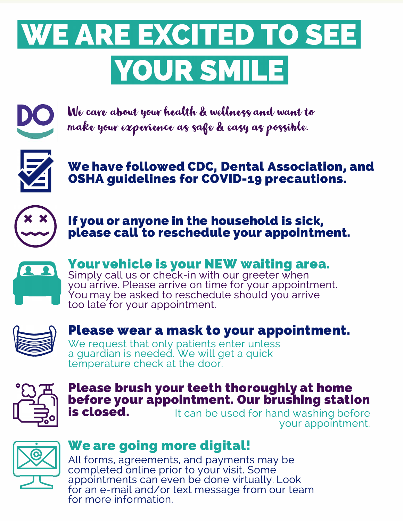# **WE ARE EXCITED TO SEE YOUR SMILE**



We care about your health & wellness and want to make your experience as safe & easy as possible.



**We have followed CDC, Dental Association, and OSHA guidelines for COVID-19 precautions.** 



**If you or anyone in the household is sick, please call to reschedule your appointment.** 



**Your vehicle is your NEW waiting area.** 

Simply call us or check-in with our greeter when you arrive. Please arrive on time for your appointment. You may be asked to reschedule should you arrive too late for your appointment.



## **Please wear a mask to your appointment.**

We request that only patients enter unless a guardian is needed. We will get a quick temperature check at the door.



## **Please brush your teeth thoroughly at home before your appointment. Our brushing station**<br>**is closed.** The tised for hand washing before

It can be used for hand washing before your appointment.



## **We are going more digital!**

All forms, agreements, and payments may be completed on line prior to your visit. Some appointments can even be done virtually. Look for an e-mail and/or text message from our team for more information.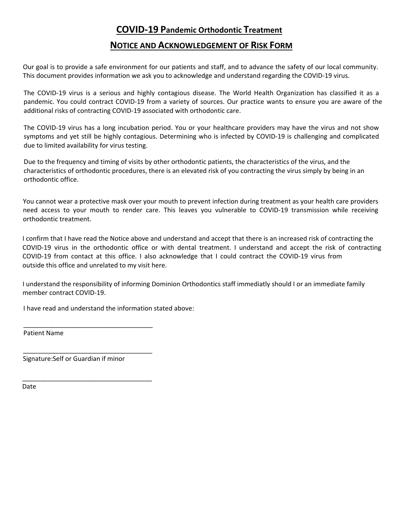#### **COVID‐19 Pandemic Orthodontic Treatment**

#### **NOTICE AND ACKNOWLEDGEMENT OF RISK FORM**

Our goal is to provide a safe environment for our patients and staff, and to advance the safety of our local community. This document provides information we ask you to acknowledge and understand regarding the COVID‐19 virus.

The COVID‐19 virus is a serious and highly contagious disease. The World Health Organization has classified it as a pandemic. You could contract COVID‐19 from a variety of sources. Our practice wants to ensure you are aware of the additional risks of contracting COVID‐19 associated with orthodontic care.

The COVID‐19 virus has a long incubation period. You or your healthcare providers may have the virus and not show symptoms and yet still be highly contagious. Determining who is infected by COVID‐19 is challenging and complicated due to limited availability for virus testing.

Due to the frequency and timing of visits by other orthodontic patients, the characteristics of the virus, and the characteristics of orthodontic procedures, there is an elevated risk of you contracting the virus simply by being in an orthodontic office.

You cannot wear a protective mask over your mouth to prevent infection during treatment as your health care providers need access to your mouth to render care. This leaves you vulnerable to COVID‐19 transmission while receiving orthodontic treatment.

I confirm that I have read the Notice above and understand and accept that there is an increased risk of contracting the COVID‐19 virus in the orthodontic office or with dental treatment. I understand and accept the risk of contracting COVID‐19 from contact at this office. I also acknowledge that I could contract the COVID‐19 virus from outside this office and unrelated to my visit here.

I understand the responsibility of informing Dominion Orthodontics staff immediatly should I or an immediate family member contract COVID-19.

I have read and understand the information stated above:

\_\_\_\_\_\_\_\_\_\_\_\_\_\_\_\_\_\_\_\_\_\_\_\_\_\_\_\_\_\_\_\_\_\_\_\_

\_\_\_\_\_\_\_\_\_\_\_\_\_\_\_\_\_\_\_\_\_\_\_\_\_\_\_\_\_\_\_\_\_\_\_\_

Patient Name

Signature:Self or Guardian if minor

\_\_\_\_\_\_\_\_\_\_\_\_\_\_\_\_\_\_\_\_\_\_\_\_\_\_\_\_\_\_\_\_\_\_\_\_

Date